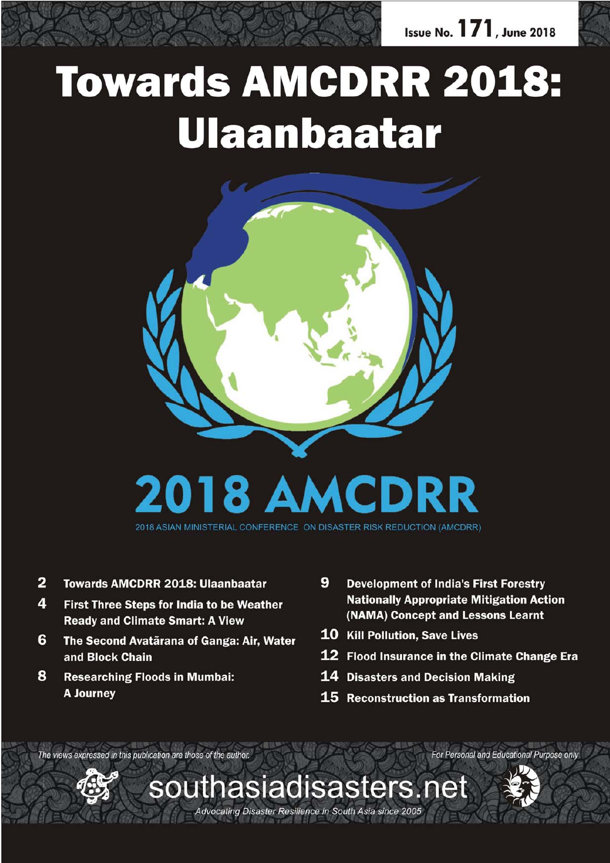

# **Towards AMCDRR 2018:** Ulaanbaatar



2018 ASIAN MINISTERIAL CONFERENCE ON DISASTER RISK REDUCTION (AMCDRR)

- $\overline{2}$ **Towards AMCDRR 2018: Ulaanbaatar**
- $\overline{4}$ First Three Steps for India to be Weather **Ready and Climate Smart: A View**
- 6 The Second Avatãrana of Ganga: Air, Water and Block Chain
- 8 **Researching Floods in Mumbai: A Journey**
- 9 **Development of India's First Forestry Nationally Appropriate Mitigation Action** (NAMA) Concept and Lessons Learnt
- 10 Kill Pollution, Save Lives
- 12 Flood Insurance in the Climate Change Era

For Personal and Educational Purpose only

- **14 Disasters and Decision Making**
- 15 Reconstruction as Transformation

The views expressed in this publication are those of the author.



Advocating Disaster Resilience in South Asia since 2005

southasiadisasters.net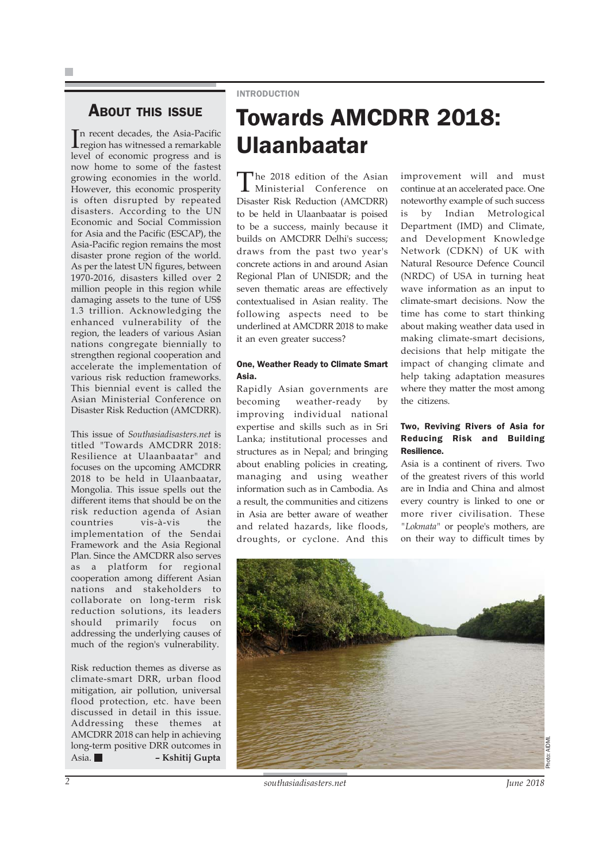### ABOUT THIS ISSUE

In recent decades, the Asia-Pacific<br>region has witnessed a remarkable region has witnessed a remarkable level of economic progress and is now home to some of the fastest growing economies in the world. However, this economic prosperity is often disrupted by repeated disasters. According to the UN Economic and Social Commission for Asia and the Pacific (ESCAP), the Asia-Pacific region remains the most disaster prone region of the world. As per the latest UN figures, between 1970-2016, disasters killed over 2 million people in this region while damaging assets to the tune of US\$ 1.3 trillion. Acknowledging the enhanced vulnerability of the region, the leaders of various Asian nations congregate biennially to strengthen regional cooperation and accelerate the implementation of various risk reduction frameworks. This biennial event is called the Asian Ministerial Conference on Disaster Risk Reduction (AMCDRR).

This issue of *Southasiadisasters.net* is titled "Towards AMCDRR 2018: Resilience at Ulaanbaatar" and focuses on the upcoming AMCDRR 2018 to be held in Ulaanbaatar, Mongolia. This issue spells out the different items that should be on the risk reduction agenda of Asian countries vis-à-vis the implementation of the Sendai Framework and the Asia Regional Plan. Since the AMCDRR also serves as a platform for regional cooperation among different Asian nations and stakeholders to collaborate on long-term risk reduction solutions, its leaders should primarily focus on addressing the underlying causes of much of the region's vulnerability.

Risk reduction themes as diverse as climate-smart DRR, urban flood mitigation, air pollution, universal flood protection, etc. have been discussed in detail in this issue. Addressing these themes at AMCDRR 2018 can help in achieving long-term positive DRR outcomes in Asia. **– Kshitij Gupta**

#### INTRODUCTION

## Towards AMCDRR 2018: Ulaanbaatar

The 2018 edition of the Asian Ministerial Conference on Disaster Risk Reduction (AMCDRR) to be held in Ulaanbaatar is poised to be a success, mainly because it builds on AMCDRR Delhi's success; draws from the past two year's concrete actions in and around Asian Regional Plan of UNISDR; and the seven thematic areas are effectively contextualised in Asian reality. The following aspects need to be underlined at AMCDRR 2018 to make it an even greater success?

#### One, Weather Ready to Climate Smart Asia.

Rapidly Asian governments are becoming weather-ready by improving individual national expertise and skills such as in Sri Lanka; institutional processes and structures as in Nepal; and bringing about enabling policies in creating, managing and using weather information such as in Cambodia. As a result, the communities and citizens in Asia are better aware of weather and related hazards, like floods, droughts, or cyclone. And this improvement will and must continue at an accelerated pace. One noteworthy example of such success is by Indian Metrological Department (IMD) and Climate, and Development Knowledge Network (CDKN) of UK with Natural Resource Defence Council (NRDC) of USA in turning heat wave information as an input to climate-smart decisions. Now the time has come to start thinking about making weather data used in making climate-smart decisions, decisions that help mitigate the impact of changing climate and help taking adaptation measures where they matter the most among the citizens.

#### Two, Reviving Rivers of Asia for Reducing Risk and Building Resilience.

Asia is a continent of rivers. Two of the greatest rivers of this world are in India and China and almost every country is linked to one or more river civilisation. These *"Lokmata"* or people's mothers, are on their way to difficult times by

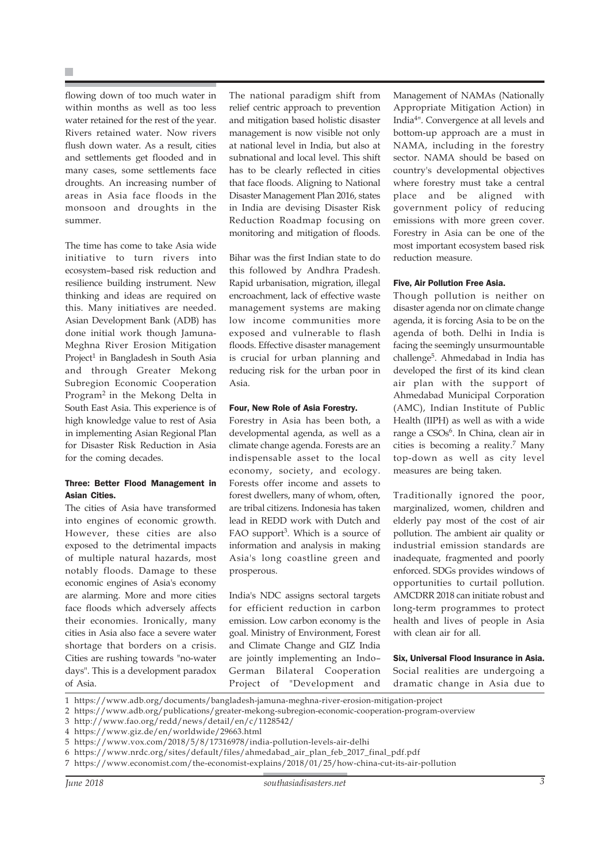flowing down of too much water in within months as well as too less water retained for the rest of the year. Rivers retained water. Now rivers flush down water. As a result, cities and settlements get flooded and in many cases, some settlements face droughts. An increasing number of areas in Asia face floods in the monsoon and droughts in the summer.

The time has come to take Asia wide initiative to turn rivers into ecosystem–based risk reduction and resilience building instrument. New thinking and ideas are required on this. Many initiatives are needed. Asian Development Bank (ADB) has done initial work though Jamuna-Meghna River Erosion Mitigation Project<sup>1</sup> in Bangladesh in South Asia and through Greater Mekong Subregion Economic Cooperation Program2 in the Mekong Delta in South East Asia. This experience is of high knowledge value to rest of Asia in implementing Asian Regional Plan for Disaster Risk Reduction in Asia for the coming decades.

#### Three: Better Flood Management in Asian Cities.

The cities of Asia have transformed into engines of economic growth. However, these cities are also exposed to the detrimental impacts of multiple natural hazards, most notably floods. Damage to these economic engines of Asia's economy are alarming. More and more cities face floods which adversely affects their economies. Ironically, many cities in Asia also face a severe water shortage that borders on a crisis. Cities are rushing towards "no-water days". This is a development paradox of Asia.

The national paradigm shift from relief centric approach to prevention and mitigation based holistic disaster management is now visible not only at national level in India, but also at subnational and local level. This shift has to be clearly reflected in cities that face floods. Aligning to National Disaster Management Plan 2016, states in India are devising Disaster Risk Reduction Roadmap focusing on monitoring and mitigation of floods.

Bihar was the first Indian state to do this followed by Andhra Pradesh. Rapid urbanisation, migration, illegal encroachment, lack of effective waste management systems are making low income communities more exposed and vulnerable to flash floods. Effective disaster management is crucial for urban planning and reducing risk for the urban poor in Asia.

#### Four, New Role of Asia Forestry.

Forestry in Asia has been both, a developmental agenda, as well as a climate change agenda. Forests are an indispensable asset to the local economy, society, and ecology. Forests offer income and assets to forest dwellers, many of whom, often, are tribal citizens. Indonesia has taken lead in REDD work with Dutch and FAO support<sup>3</sup>. Which is a source of information and analysis in making Asia's long coastline green and prosperous.

India's NDC assigns sectoral targets for efficient reduction in carbon emission. Low carbon economy is the goal. Ministry of Environment, Forest and Climate Change and GIZ India are jointly implementing an Indo– German Bilateral Cooperation Project of "Development and

Management of NAMAs (Nationally Appropriate Mitigation Action) in India4". Convergence at all levels and bottom-up approach are a must in NAMA, including in the forestry sector. NAMA should be based on country's developmental objectives where forestry must take a central place and be aligned with government policy of reducing emissions with more green cover. Forestry in Asia can be one of the most important ecosystem based risk reduction measure.

#### Five, Air Pollution Free Asia.

Though pollution is neither on disaster agenda nor on climate change agenda, it is forcing Asia to be on the agenda of both. Delhi in India is facing the seemingly unsurmountable challenge5. Ahmedabad in India has developed the first of its kind clean air plan with the support of Ahmedabad Municipal Corporation (AMC), Indian Institute of Public Health (IIPH) as well as with a wide range a CSOs<sup>6</sup>. In China, clean air in cities is becoming a reality.7 Many top-down as well as city level measures are being taken.

Traditionally ignored the poor, marginalized, women, children and elderly pay most of the cost of air pollution. The ambient air quality or industrial emission standards are inadequate, fragmented and poorly enforced. SDGs provides windows of opportunities to curtail pollution. AMCDRR 2018 can initiate robust and long-term programmes to protect health and lives of people in Asia with clean air for all.

Six, Universal Flood Insurance in Asia. Social realities are undergoing a dramatic change in Asia due to

<sup>1</sup> https://www.adb.org/documents/bangladesh-jamuna-meghna-river-erosion-mitigation-project

<sup>2</sup> https://www.adb.org/publications/greater-mekong-subregion-economic-cooperation-program-overview

<sup>3</sup> http://www.fao.org/redd/news/detail/en/c/1128542/

<sup>4</sup> https://www.giz.de/en/worldwide/29663.html

<sup>5</sup> https://www.vox.com/2018/5/8/17316978/india-pollution-levels-air-delhi

<sup>6</sup> https://www.nrdc.org/sites/default/files/ahmedabad\_air\_plan\_feb\_2017\_final\_pdf.pdf

<sup>7</sup> https://www.economist.com/the-economist-explains/2018/01/25/how-china-cut-its-air-pollution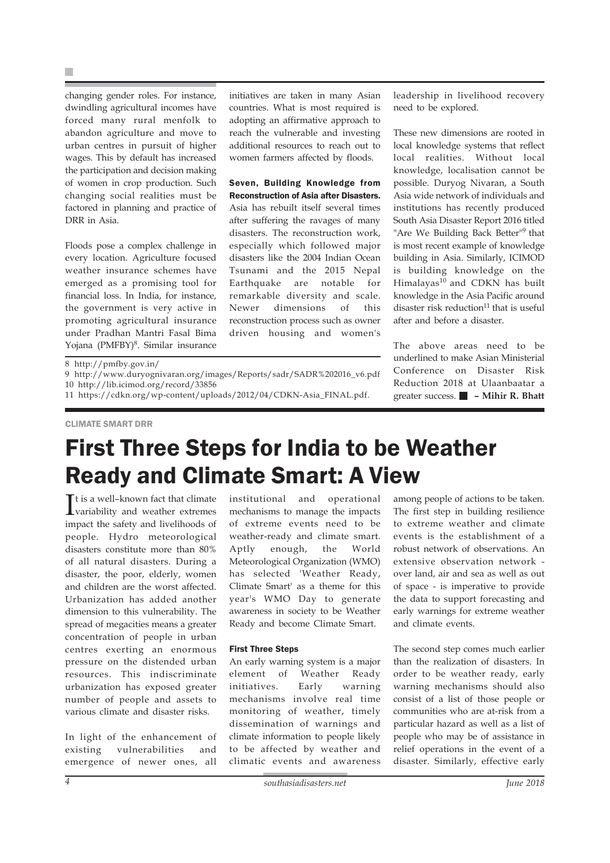changing gender roles. For instance, dwindling agricultural incomes have forced many rural menfolk to abandon agriculture and move to urban centres in pursuit of higher wages. This by default has increased the participation and decision making of women in crop production. Such changing social realities must be factored in planning and practice of DRR in Asia.

Floods pose a complex challenge in every location. Agriculture focused weather insurance schemes have emerged as a promising tool for financial loss. In India, for instance, the government is very active in promoting agricultural insurance under Pradhan Mantri Fasal Bima Yojana (PMFBY)<sup>8</sup>. Similar insurance initiatives are taken in many Asian countries. What is most required is adopting an affirmative approach to reach the vulnerable and investing additional resources to reach out to women farmers affected by floods.

Seven, Building Knowledge from Reconstruction of Asia after Disasters. Asia has rebuilt itself several times after suffering the ravages of many disasters. The reconstruction work, especially which followed major disasters like the 2004 Indian Ocean Tsunami and the 2015 Nepal Earthquake are notable for remarkable diversity and scale. Newer dimensions of this reconstruction process such as owner driven housing and women's

leadership in livelihood recovery need to be explored.

These new dimensions are rooted in local knowledge systems that reflect local realities. Without local knowledge, localisation cannot be possible. Duryog Nivaran, a South Asia wide network of individuals and institutions has recently produced South Asia Disaster Report 2016 titled "Are We Building Back Better"<sup>9</sup> that is most recent example of knowledge building in Asia. Similarly, ICIMOD is building knowledge on the Himalayas<sup>10</sup> and CDKN has built knowledge in the Asia Pacific around disaster risk reduction $11$  that is useful after and before a disaster.

The above areas need to be underlined to make Asian Ministerial Conference on Disaster Risk Reduction 2018 at Ulaanbaatar a greater success. **– Mihir R. Bhatt**

8 http://pmfby.gov.in/

#### CLIMATE SMART DRR

### First Three Steps for India to be Weather Ready and Climate Smart: A View

It is a well-known fact that climate<br>variability and weather extremes variability and weather extremes impact the safety and livelihoods of people. Hydro meteorological disasters constitute more than 80% of all natural disasters. During a disaster, the poor, elderly, women and children are the worst affected. Urbanization has added another dimension to this vulnerability. The spread of megacities means a greater concentration of people in urban centres exerting an enormous pressure on the distended urban resources. This indiscriminate urbanization has exposed greater number of people and assets to various climate and disaster risks.

In light of the enhancement of existing vulnerabilities and emergence of newer ones, all

institutional and operational mechanisms to manage the impacts of extreme events need to be weather-ready and climate smart. Aptly enough, the World Meteorological Organization (WMO) has selected 'Weather Ready, Climate Smart' as a theme for this year's WMO Day to generate awareness in society to be Weather Ready and become Climate Smart.

#### First Three Steps

An early warning system is a major element of Weather Ready initiatives. Early warning mechanisms involve real time monitoring of weather, timely dissemination of warnings and climate information to people likely to be affected by weather and climatic events and awareness

among people of actions to be taken. The first step in building resilience to extreme weather and climate events is the establishment of a robust network of observations. An extensive observation network over land, air and sea as well as out of space - is imperative to provide the data to support forecasting and early warnings for extreme weather and climate events.

The second step comes much earlier than the realization of disasters. In order to be weather ready, early warning mechanisms should also consist of a list of those people or communities who are at-risk from a particular hazard as well as a list of people who may be of assistance in relief operations in the event of a disaster. Similarly, effective early

<sup>9</sup> http://www.duryognivaran.org/images/Reports/sadr/SADR%202016\_v6.pdf 10 http://lib.icimod.org/record/33856

<sup>11</sup> https://cdkn.org/wp-content/uploads/2012/04/CDKN-Asia\_FINAL.pdf.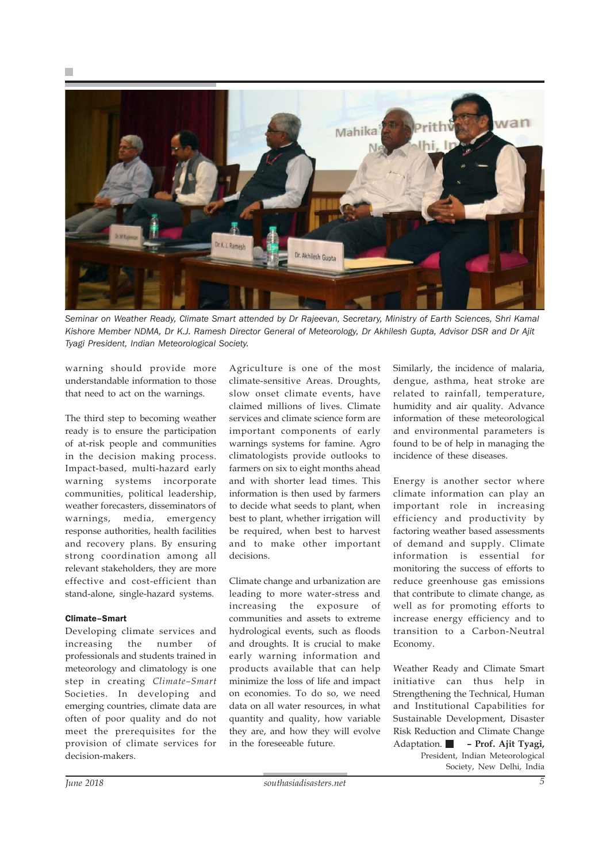

*Seminar on Weather Ready, Climate Smart attended by Dr Rajeevan, Secretary, Ministry of Earth Sciences, Shri Kamal Kishore Member NDMA, Dr K.J. Ramesh Director General of Meteorology, Dr Akhilesh Gupta, Advisor DSR and Dr Ajit Tyagi President, Indian Meteorological Society.*

warning should provide more understandable information to those that need to act on the warnings.

The third step to becoming weather ready is to ensure the participation of at-risk people and communities in the decision making process. Impact-based, multi-hazard early warning systems incorporate communities, political leadership, weather forecasters, disseminators of warnings, media, emergency response authorities, health facilities and recovery plans. By ensuring strong coordination among all relevant stakeholders, they are more effective and cost-efficient than stand-alone, single-hazard systems.

#### Climate–Smart

Developing climate services and increasing the number of professionals and students trained in meteorology and climatology is one step in creating *Climate–Smart* Societies. In developing and emerging countries, climate data are often of poor quality and do not meet the prerequisites for the provision of climate services for decision-makers.

Agriculture is one of the most climate-sensitive Areas. Droughts, slow onset climate events, have claimed millions of lives. Climate services and climate science form are important components of early warnings systems for famine. Agro climatologists provide outlooks to farmers on six to eight months ahead and with shorter lead times. This information is then used by farmers to decide what seeds to plant, when best to plant, whether irrigation will be required, when best to harvest and to make other important decisions.

Climate change and urbanization are leading to more water-stress and increasing the exposure of communities and assets to extreme hydrological events, such as floods and droughts. It is crucial to make early warning information and products available that can help minimize the loss of life and impact on economies. To do so, we need data on all water resources, in what quantity and quality, how variable they are, and how they will evolve in the foreseeable future.

Similarly, the incidence of malaria, dengue, asthma, heat stroke are related to rainfall, temperature, humidity and air quality. Advance information of these meteorological and environmental parameters is found to be of help in managing the incidence of these diseases.

Energy is another sector where climate information can play an important role in increasing efficiency and productivity by factoring weather based assessments of demand and supply. Climate information is essential for monitoring the success of efforts to reduce greenhouse gas emissions that contribute to climate change, as well as for promoting efforts to increase energy efficiency and to transition to a Carbon-Neutral Economy.

Weather Ready and Climate Smart initiative can thus help in Strengthening the Technical, Human and Institutional Capabilities for Sustainable Development, Disaster Risk Reduction and Climate Change Adaptation. **– Prof. Ajit Tyagi,** President, Indian Meteorological Society, New Delhi, India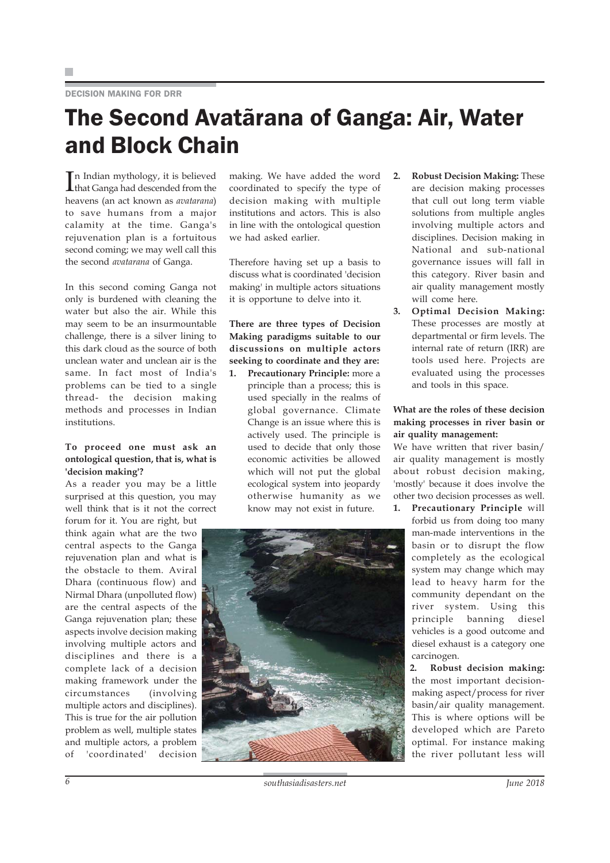DECISION MAKING FOR DRR

## The Second Avatãrana of Ganga: Air, Water and Block Chain

In Indian mythology, it is believed<br>
Ithat Ganga had descended from the that Ganga had descended from the heavens (an act known as *avatarana*) to save humans from a major calamity at the time. Ganga's rejuvenation plan is a fortuitous second coming; we may well call this the second *avatarana* of Ganga.

In this second coming Ganga not only is burdened with cleaning the water but also the air. While this may seem to be an insurmountable challenge, there is a silver lining to this dark cloud as the source of both unclean water and unclean air is the same. In fact most of India's problems can be tied to a single thread- the decision making methods and processes in Indian institutions.

#### **To proceed one must ask an ontological question, that is, what is 'decision making'?**

As a reader you may be a little surprised at this question, you may well think that is it not the correct forum for it. You are right, but

think again what are the two central aspects to the Ganga rejuvenation plan and what is the obstacle to them. Aviral Dhara (continuous flow) and Nirmal Dhara (unpolluted flow) are the central aspects of the Ganga rejuvenation plan; these aspects involve decision making involving multiple actors and disciplines and there is a complete lack of a decision making framework under the circumstances (involving multiple actors and disciplines). This is true for the air pollution problem as well, multiple states and multiple actors, a problem of 'coordinated' decision

making. We have added the word coordinated to specify the type of decision making with multiple institutions and actors. This is also in line with the ontological question we had asked earlier.

Therefore having set up a basis to discuss what is coordinated 'decision making' in multiple actors situations it is opportune to delve into it.

### **There are three types of Decision Making paradigms suitable to our discussions on multiple actors seeking to coordinate and they are:**

**1. Precautionary Principle:** more a principle than a process; this is used specially in the realms of global governance. Climate Change is an issue where this is actively used. The principle is used to decide that only those economic activities be allowed which will not put the global ecological system into jeopardy otherwise humanity as we know may not exist in future.



- **2. Robust Decision Making:** These are decision making processes that cull out long term viable solutions from multiple angles involving multiple actors and disciplines. Decision making in National and sub-national governance issues will fall in this category. River basin and air quality management mostly will come here.
- **3. Optimal Decision Making:** These processes are mostly at departmental or firm levels. The internal rate of return (IRR) are tools used here. Projects are evaluated using the processes and tools in this space.

#### **What are the roles of these decision making processes in river basin or air quality management:**

We have written that river basin/ air quality management is mostly about robust decision making, 'mostly' because it does involve the other two decision processes as well.

**1. Precautionary Principle** will forbid us from doing too many man-made interventions in the basin or to disrupt the flow completely as the ecological system may change which may lead to heavy harm for the community dependant on the river system. Using this principle banning diesel vehicles is a good outcome and diesel exhaust is a category one carcinogen.

> **2. Robust decision making:** the most important decisionmaking aspect/process for river basin/air quality management. This is where options will be developed which are Pareto optimal. For instance making the river pollutant less will

*6 southasiadisasters.net June 2018*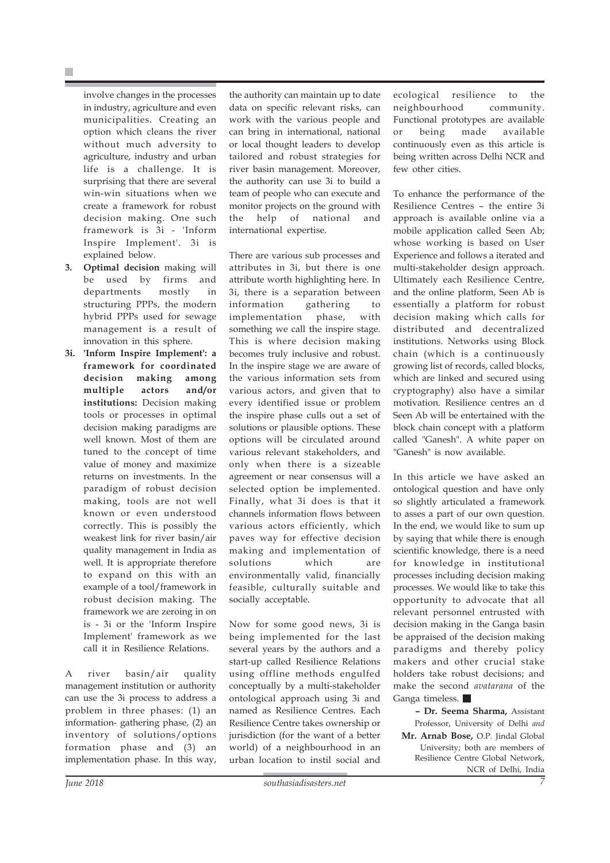involve changes in the processes in industry, agriculture and even municipalities. Creating an option which cleans the river without much adversity to agriculture, industry and urban life is a challenge. It is surprising that there are several win-win situations when we create a framework for robust decision making. One such framework is 3i - 'Inform Inspire Implement'. 3i is explained below.

- **3. Optimal decision** making will be used by firms and departments mostly in structuring PPPs, the modern hybrid PPPs used for sewage management is a result of innovation in this sphere.
- **3i. 'Inform Inspire Implement': a framework for coordinated decision making among multiple actors and/or institutions:** Decision making tools or processes in optimal decision making paradigms are well known. Most of them are tuned to the concept of time value of money and maximize returns on investments. In the paradigm of robust decision making, tools are not well known or even understood correctly. This is possibly the weakest link for river basin/air quality management in India as well. It is appropriate therefore to expand on this with an example of a tool/framework in robust decision making. The framework we are zeroing in on is - 3i or the 'Inform Inspire Implement' framework as we call it in Resilience Relations.

A river basin/air quality management institution or authority can use the 3i process to address a problem in three phases: (1) an information- gathering phase, (2) an inventory of solutions/options formation phase and (3) an implementation phase. In this way, the authority can maintain up to date data on specific relevant risks, can work with the various people and can bring in international, national or local thought leaders to develop tailored and robust strategies for river basin management. Moreover, the authority can use 3i to build a team of people who can execute and monitor projects on the ground with the help of national and international expertise.

There are various sub processes and attributes in 3i, but there is one attribute worth highlighting here. In 3i, there is a separation between information gathering to implementation phase, with something we call the inspire stage. This is where decision making becomes truly inclusive and robust. In the inspire stage we are aware of the various information sets from various actors, and given that to every identified issue or problem the inspire phase culls out a set of solutions or plausible options. These options will be circulated around various relevant stakeholders, and only when there is a sizeable agreement or near consensus will a selected option be implemented. Finally, what 3i does is that it channels information flows between various actors efficiently, which paves way for effective decision making and implementation of solutions which are environmentally valid, financially feasible, culturally suitable and socially acceptable.

Now for some good news, 3i is being implemented for the last several years by the authors and a start-up called Resilience Relations using offline methods engulfed conceptually by a multi-stakeholder ontological approach using 3i and named as Resilience Centres. Each Resilience Centre takes ownership or jurisdiction (for the want of a better world) of a neighbourhood in an urban location to instil social and

ecological resilience to the neighbourhood community. Functional prototypes are available or being made available continuously even as this article is being written across Delhi NCR and few other cities.

To enhance the performance of the Resilience Centres – the entire 3i approach is available online via a mobile application called Seen Ab; whose working is based on User Experience and follows a iterated and multi-stakeholder design approach. Ultimately each Resilience Centre, and the online platform, Seen Ab is essentially a platform for robust decision making which calls for distributed and decentralized institutions. Networks using Block chain (which is a continuously growing list of records, called blocks, which are linked and secured using cryptography) also have a similar motivation. Resilience centres an d Seen Ab will be entertained with the block chain concept with a platform called "Ganesh". A white paper on "Ganesh" is now available.

In this article we have asked an ontological question and have only so slightly articulated a framework to asses a part of our own question. In the end, we would like to sum up by saying that while there is enough scientific knowledge, there is a need for knowledge in institutional processes including decision making processes. We would like to take this opportunity to advocate that all relevant personnel entrusted with decision making in the Ganga basin be appraised of the decision making paradigms and thereby policy makers and other crucial stake holders take robust decisions; and make the second *avatarana* of the Ganga timeless.

**– Dr. Seema Sharma,** Assistant Professor, University of Delhi *and* **Mr. Arnab Bose,** O.P. Jindal Global University; both are members of Resilience Centre Global Network, NCR of Delhi, India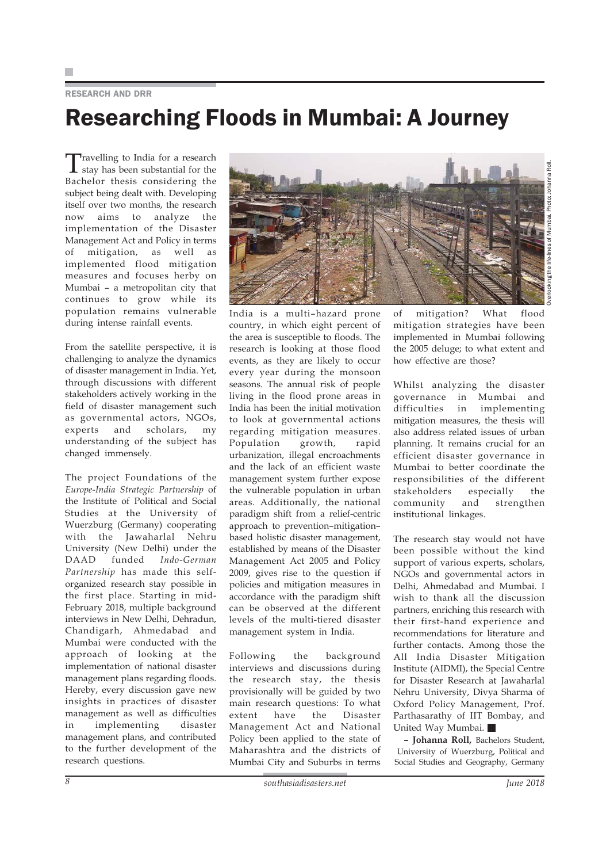#### RESEARCH AND DRR

## Researching Floods in Mumbai: A Journey

Travelling to India for a research stay has been substantial for the Bachelor thesis considering the subject being dealt with. Developing itself over two months, the research now aims to analyze the implementation of the Disaster Management Act and Policy in terms of mitigation, as well as implemented flood mitigation measures and focuses herby on Mumbai – a metropolitan city that continues to grow while its population remains vulnerable during intense rainfall events.

From the satellite perspective, it is challenging to analyze the dynamics of disaster management in India. Yet, through discussions with different stakeholders actively working in the field of disaster management such as governmental actors, NGOs, experts and scholars, my understanding of the subject has changed immensely.

The project Foundations of the *Europe-India Strategic Partnership* of the Institute of Political and Social Studies at the University of Wuerzburg (Germany) cooperating with the Jawaharlal Nehru University (New Delhi) under the DAAD funded *Indo-German Partnership* has made this selforganized research stay possible in the first place. Starting in mid-February 2018, multiple background interviews in New Delhi, Dehradun, Chandigarh, Ahmedabad and Mumbai were conducted with the approach of looking at the implementation of national disaster management plans regarding floods. Hereby, every discussion gave new insights in practices of disaster management as well as difficulties in implementing disaster management plans, and contributed to the further development of the research questions.



India is a multi–hazard prone country, in which eight percent of the area is susceptible to floods. The research is looking at those flood events, as they are likely to occur every year during the monsoon seasons. The annual risk of people living in the flood prone areas in India has been the initial motivation to look at governmental actions regarding mitigation measures. Population growth, rapid urbanization, illegal encroachments and the lack of an efficient waste management system further expose the vulnerable population in urban areas. Additionally, the national paradigm shift from a relief-centric approach to prevention–mitigation– based holistic disaster management, established by means of the Disaster Management Act 2005 and Policy 2009, gives rise to the question if policies and mitigation measures in accordance with the paradigm shift can be observed at the different levels of the multi-tiered disaster management system in India.

Following the background interviews and discussions during the research stay, the thesis provisionally will be guided by two main research questions: To what<br>extent have the Disaster extent have the Disaster Management Act and National Policy been applied to the state of Maharashtra and the districts of Mumbai City and Suburbs in terms

of mitigation? What flood mitigation strategies have been implemented in Mumbai following the 2005 deluge; to what extent and how effective are those?

Whilst analyzing the disaster governance in Mumbai and difficulties in implementing mitigation measures, the thesis will also address related issues of urban planning. It remains crucial for an efficient disaster governance in Mumbai to better coordinate the responsibilities of the different stakeholders especially the community and strengthen institutional linkages.

The research stay would not have been possible without the kind support of various experts, scholars, NGOs and governmental actors in Delhi, Ahmedabad and Mumbai. I wish to thank all the discussion partners, enriching this research with their first-hand experience and recommendations for literature and further contacts. Among those the All India Disaster Mitigation Institute (AIDMI), the Special Centre for Disaster Research at Jawaharlal Nehru University, Divya Sharma of Oxford Policy Management, Prof. Parthasarathy of IIT Bombay, and United Way Mumbai.

**– Johanna Roll,** Bachelors Student, University of Wuerzburg, Political and Social Studies and Geography, Germany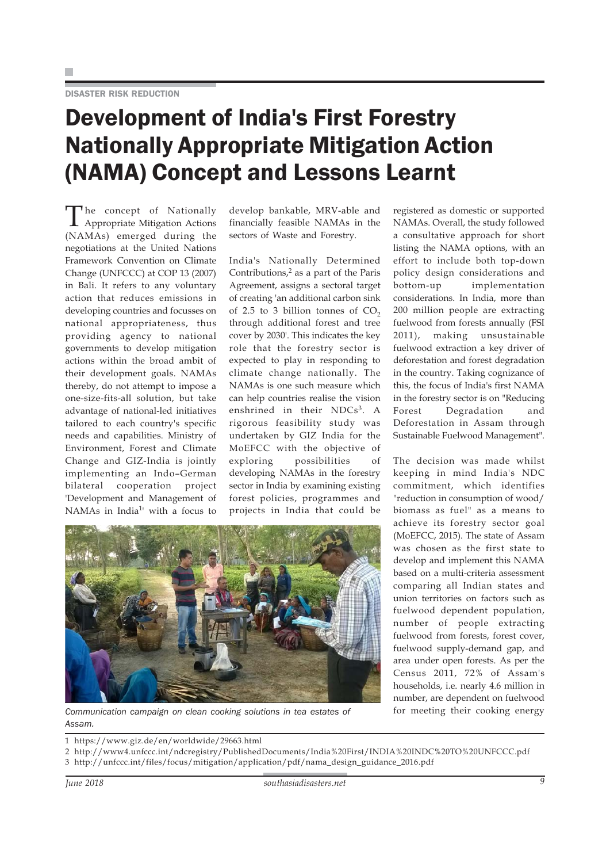# Development of India's First Forestry Nationally Appropriate Mitigation Action (NAMA) Concept and Lessons Learnt

The concept of Nationally Appropriate Mitigation Actions (NAMAs) emerged during the negotiations at the United Nations Framework Convention on Climate Change (UNFCCC) at COP 13 (2007) in Bali. It refers to any voluntary action that reduces emissions in developing countries and focusses on national appropriateness, thus providing agency to national governments to develop mitigation actions within the broad ambit of their development goals. NAMAs thereby, do not attempt to impose a one-size-fits-all solution, but take advantage of national-led initiatives tailored to each country's specific needs and capabilities. Ministry of Environment, Forest and Climate Change and GIZ-India is jointly implementing an Indo–German bilateral cooperation project 'Development and Management of NAMAs in India<sup>1</sup>' with a focus to

develop bankable, MRV-able and financially feasible NAMAs in the sectors of Waste and Forestry.

India's Nationally Determined Contributions, $2$  as a part of the Paris Agreement, assigns a sectoral target of creating 'an additional carbon sink of 2.5 to 3 billion tonnes of  $CO<sub>2</sub>$ through additional forest and tree cover by 2030'. This indicates the key role that the forestry sector is expected to play in responding to climate change nationally. The NAMAs is one such measure which can help countries realise the vision enshrined in their NDCs<sup>3</sup>. A rigorous feasibility study was undertaken by GIZ India for the MoEFCC with the objective of exploring possibilities of developing NAMAs in the forestry sector in India by examining existing forest policies, programmes and projects in India that could be

registered as domestic or supported NAMAs. Overall, the study followed a consultative approach for short listing the NAMA options, with an effort to include both top-down policy design considerations and bottom-up implementation considerations. In India, more than 200 million people are extracting fuelwood from forests annually (FSI 2011), making unsustainable fuelwood extraction a key driver of deforestation and forest degradation in the country. Taking cognizance of this, the focus of India's first NAMA in the forestry sector is on "Reducing Forest Degradation and Deforestation in Assam through Sustainable Fuelwood Management".

The decision was made whilst keeping in mind India's NDC commitment, which identifies "reduction in consumption of wood/ biomass as fuel" as a means to achieve its forestry sector goal (MoEFCC, 2015). The state of Assam was chosen as the first state to develop and implement this NAMA based on a multi-criteria assessment comparing all Indian states and union territories on factors such as fuelwood dependent population, number of people extracting fuelwood from forests, forest cover, fuelwood supply-demand gap, and area under open forests. As per the Census 2011, 72% of Assam's households, i.e. nearly 4.6 million in number, are dependent on fuelwood



Communication campaign on clean cooking solutions in tea estates of for meeting their cooking energy *Assam.*

1 https://www.giz.de/en/worldwide/29663.html

2 http://www4.unfccc.int/ndcregistry/PublishedDocuments/India%20First/INDIA%20INDC%20TO%20UNFCCC.pdf 3 http://unfccc.int/files/focus/mitigation/application/pdf/nama\_design\_guidance\_2016.pdf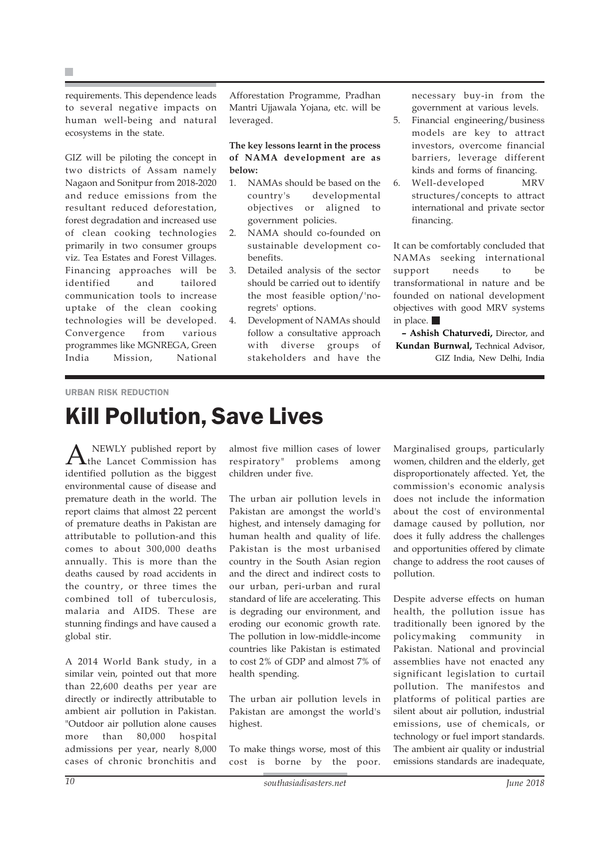requirements. This dependence leads to several negative impacts on human well-being and natural ecosystems in the state.

GIZ will be piloting the concept in two districts of Assam namely Nagaon and Sonitpur from 2018-2020 and reduce emissions from the resultant reduced deforestation, forest degradation and increased use of clean cooking technologies primarily in two consumer groups viz. Tea Estates and Forest Villages. Financing approaches will be identified and tailored communication tools to increase uptake of the clean cooking technologies will be developed. Convergence from various programmes like MGNREGA, Green India Mission, National

Afforestation Programme, Pradhan Mantri Ujjawala Yojana, etc. will be leveraged.

#### **The key lessons learnt in the process of NAMA development are as below:**

- 1. NAMAs should be based on the country's developmental objectives or aligned to government policies.
- 2. NAMA should co-founded on sustainable development cobenefits.
- 3. Detailed analysis of the sector should be carried out to identify the most feasible option/'noregrets' options.
- 4. Development of NAMAs should follow a consultative approach with diverse groups of stakeholders and have the

necessary buy-in from the government at various levels.

- 5. Financial engineering/business models are key to attract investors, overcome financial barriers, leverage different kinds and forms of financing.
- 6. Well-developed MRV structures/concepts to attract international and private sector financing.

It can be comfortably concluded that NAMAs seeking international support needs to be transformational in nature and be founded on national development objectives with good MRV systems in place.

**– Ashish Chaturvedi,** Director, and **Kundan Burnwal,** Technical Advisor, GIZ India, New Delhi, India

#### URBAN RISK REDUCTION

### Kill Pollution, Save Lives

A NEWLY published report by<br>the Lancet Commission has identified pollution as the biggest environmental cause of disease and premature death in the world. The report claims that almost 22 percent of premature deaths in Pakistan are attributable to pollution-and this comes to about 300,000 deaths annually. This is more than the deaths caused by road accidents in the country, or three times the combined toll of tuberculosis, malaria and AIDS. These are stunning findings and have caused a global stir.

A 2014 World Bank study, in a similar vein, pointed out that more than 22,600 deaths per year are directly or indirectly attributable to ambient air pollution in Pakistan. "Outdoor air pollution alone causes more than 80,000 hospital admissions per year, nearly 8,000 cases of chronic bronchitis and almost five million cases of lower respiratory" problems among children under five.

The urban air pollution levels in Pakistan are amongst the world's highest, and intensely damaging for human health and quality of life. Pakistan is the most urbanised country in the South Asian region and the direct and indirect costs to our urban, peri-urban and rural standard of life are accelerating. This is degrading our environment, and eroding our economic growth rate. The pollution in low-middle-income countries like Pakistan is estimated to cost 2% of GDP and almost 7% of health spending.

The urban air pollution levels in Pakistan are amongst the world's highest.

To make things worse, most of this cost is borne by the poor.

Marginalised groups, particularly women, children and the elderly, get disproportionately affected. Yet, the commission's economic analysis does not include the information about the cost of environmental damage caused by pollution, nor does it fully address the challenges and opportunities offered by climate change to address the root causes of pollution.

Despite adverse effects on human health, the pollution issue has traditionally been ignored by the policymaking community in Pakistan. National and provincial assemblies have not enacted any significant legislation to curtail pollution. The manifestos and platforms of political parties are silent about air pollution, industrial emissions, use of chemicals, or technology or fuel import standards. The ambient air quality or industrial emissions standards are inadequate,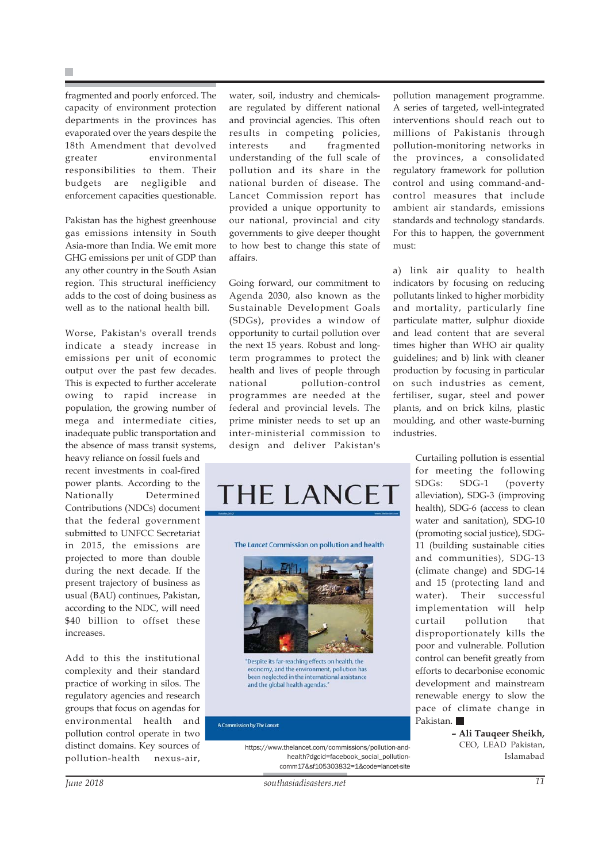fragmented and poorly enforced. The capacity of environment protection departments in the provinces has evaporated over the years despite the 18th Amendment that devolved greater environmental responsibilities to them. Their budgets are negligible and enforcement capacities questionable.

Pakistan has the highest greenhouse gas emissions intensity in South Asia-more than India. We emit more GHG emissions per unit of GDP than any other country in the South Asian region. This structural inefficiency adds to the cost of doing business as well as to the national health bill.

Worse, Pakistan's overall trends indicate a steady increase in emissions per unit of economic output over the past few decades. This is expected to further accelerate owing to rapid increase in population, the growing number of mega and intermediate cities, inadequate public transportation and the absence of mass transit systems,

heavy reliance on fossil fuels and recent investments in coal-fired power plants. According to the Nationally Determined Contributions (NDCs) document that the federal government submitted to UNFCC Secretariat in 2015, the emissions are projected to more than double during the next decade. If the present trajectory of business as usual (BAU) continues, Pakistan, according to the NDC, will need \$40 billion to offset these increases.

Add to this the institutional complexity and their standard practice of working in silos. The regulatory agencies and research groups that focus on agendas for environmental health and pollution control operate in two distinct domains. Key sources of pollution-health nexus-air,

water, soil, industry and chemicalsare regulated by different national and provincial agencies. This often results in competing policies, interests and fragmented understanding of the full scale of pollution and its share in the national burden of disease. The Lancet Commission report has provided a unique opportunity to our national, provincial and city governments to give deeper thought to how best to change this state of affairs.

Going forward, our commitment to Agenda 2030, also known as the Sustainable Development Goals (SDGs), provides a window of opportunity to curtail pollution over the next 15 years. Robust and longterm programmes to protect the health and lives of people through national pollution-control programmes are needed at the federal and provincial levels. The prime minister needs to set up an inter-ministerial commission to design and deliver Pakistan's



"Despite its far-reaching effects on health, the economy, and the environment, pollution has been neglected in the international assistance and the global health agendas.

#### A Commission by The Lancet

https://www.thelancet.com/commissions/pollution-andhealth?dgcid=facebook\_social\_pollutioncomm17&sf105303832=1&code=lancet-site

pollution management programme. A series of targeted, well-integrated interventions should reach out to millions of Pakistanis through pollution-monitoring networks in the provinces, a consolidated regulatory framework for pollution control and using command-andcontrol measures that include ambient air standards, emissions standards and technology standards. For this to happen, the government must:

a) link air quality to health indicators by focusing on reducing pollutants linked to higher morbidity and mortality, particularly fine particulate matter, sulphur dioxide and lead content that are several times higher than WHO air quality guidelines; and b) link with cleaner production by focusing in particular on such industries as cement, fertiliser, sugar, steel and power plants, and on brick kilns, plastic moulding, and other waste-burning industries.

> Curtailing pollution is essential for meeting the following SDGs: SDG-1 (poverty alleviation), SDG-3 (improving health), SDG-6 (access to clean water and sanitation), SDG-10 (promoting social justice), SDG-11 (building sustainable cities and communities), SDG-13 (climate change) and SDG-14 and 15 (protecting land and water). Their successful implementation will help curtail pollution that disproportionately kills the poor and vulnerable. Pollution control can benefit greatly from efforts to decarbonise economic development and mainstream renewable energy to slow the pace of climate change in Pakistan.

> > **– Ali Tauqeer Sheikh,** CEO, LEAD Pakistan, Islamabad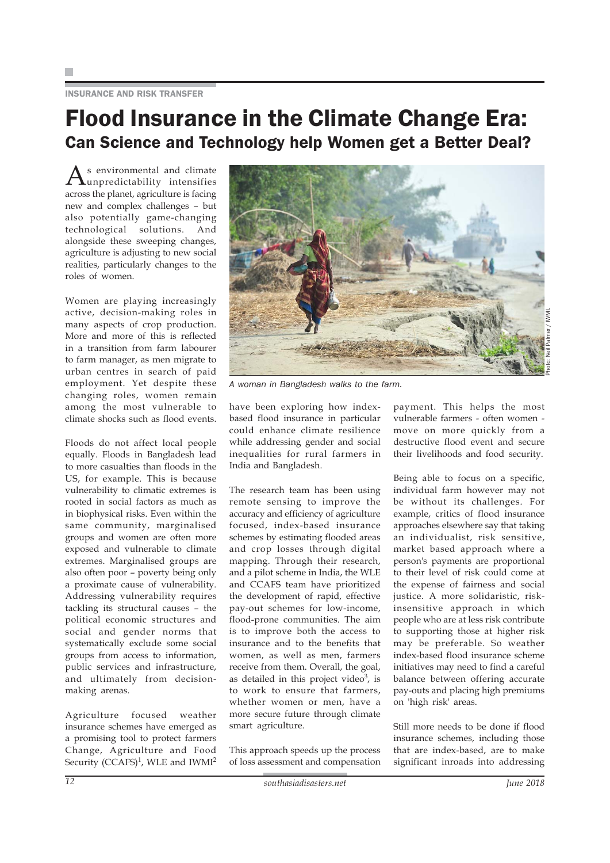#### INSURANCE AND RISK TRANSFER

### Flood Insurance in the Climate Change Era: Can Science and Technology help Women get a Better Deal?

 $\mathrm{A}_{\mathrm{unpredicted}}$  and climate across the planet, agriculture is facing new and complex challenges – but also potentially game-changing technological solutions. And alongside these sweeping changes, agriculture is adjusting to new social realities, particularly changes to the roles of women.

Women are playing increasingly active, decision-making roles in many aspects of crop production. More and more of this is reflected in a transition from farm labourer to farm manager, as men migrate to urban centres in search of paid employment. Yet despite these changing roles, women remain among the most vulnerable to climate shocks such as flood events.

Floods do not affect local people equally. Floods in Bangladesh lead to more casualties than floods in the US, for example. This is because vulnerability to climatic extremes is rooted in social factors as much as in biophysical risks. Even within the same community, marginalised groups and women are often more exposed and vulnerable to climate extremes. Marginalised groups are also often poor – poverty being only a proximate cause of vulnerability. Addressing vulnerability requires tackling its structural causes – the political economic structures and social and gender norms that systematically exclude some social groups from access to information, public services and infrastructure, and ultimately from decisionmaking arenas.

Agriculture focused weather insurance schemes have emerged as a promising tool to protect farmers Change, Agriculture and Food Security (CCAFS)<sup>1</sup>, WLE and IWMI<sup>2</sup>



*A woman in Bangladesh walks to the farm.*

have been exploring how indexbased flood insurance in particular could enhance climate resilience while addressing gender and social inequalities for rural farmers in India and Bangladesh.

The research team has been using remote sensing to improve the accuracy and efficiency of agriculture focused, index-based insurance schemes by estimating flooded areas and crop losses through digital mapping. Through their research, and a pilot scheme in India, the WLE and CCAFS team have prioritized the development of rapid, effective pay-out schemes for low-income, flood-prone communities. The aim is to improve both the access to insurance and to the benefits that women, as well as men, farmers receive from them. Overall, the goal, as detailed in this project video $3$ , is to work to ensure that farmers, whether women or men, have a more secure future through climate smart agriculture.

This approach speeds up the process of loss assessment and compensation

payment. This helps the most vulnerable farmers - often women move on more quickly from a destructive flood event and secure their livelihoods and food security.

Being able to focus on a specific, individual farm however may not be without its challenges. For example, critics of flood insurance approaches elsewhere say that taking an individualist, risk sensitive, market based approach where a person's payments are proportional to their level of risk could come at the expense of fairness and social justice. A more solidaristic, riskinsensitive approach in which people who are at less risk contribute to supporting those at higher risk may be preferable. So weather index-based flood insurance scheme initiatives may need to find a careful balance between offering accurate pay-outs and placing high premiums on 'high risk' areas.

Still more needs to be done if flood insurance schemes, including those that are index-based, are to make significant inroads into addressing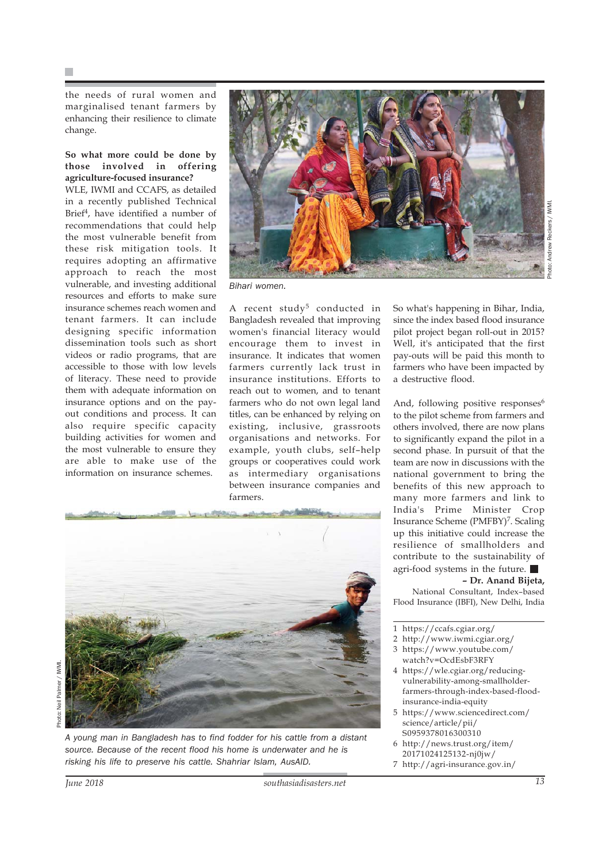the needs of rural women and marginalised tenant farmers by enhancing their resilience to climate change.

#### **So what more could be done by those involved in offering agriculture-focused insurance?**

WLE, IWMI and CCAFS, as detailed in a recently published Technical Brief<sup>4</sup>, have identified a number of recommendations that could help the most vulnerable benefit from these risk mitigation tools. It requires adopting an affirmative approach to reach the most vulnerable, and investing additional resources and efforts to make sure insurance schemes reach women and tenant farmers. It can include designing specific information dissemination tools such as short videos or radio programs, that are accessible to those with low levels of literacy. These need to provide them with adequate information on insurance options and on the payout conditions and process. It can also require specific capacity building activities for women and the most vulnerable to ensure they are able to make use of the information on insurance schemes.



*Bihari women.*

A recent study<sup>5</sup> conducted in Bangladesh revealed that improving women's financial literacy would encourage them to invest in insurance. It indicates that women farmers currently lack trust in insurance institutions. Efforts to reach out to women, and to tenant farmers who do not own legal land titles, can be enhanced by relying on existing, inclusive, grassroots organisations and networks. For example, youth clubs, self–help groups or cooperatives could work as intermediary organisations between insurance companies and farmers.

Photo: Neil Palmer / IWMI. Palmer / IWMI hoto: Neil

*A young man in Bangladesh has to find fodder for his cattle from a distant source. Because of the recent flood his home is underwater and he is risking his life to preserve his cattle. Shahriar Islam, AusAID.*

So what's happening in Bihar, India, since the index based flood insurance pilot project began roll-out in 2015? Well, it's anticipated that the first pay-outs will be paid this month to farmers who have been impacted by a destructive flood.

And, following positive responses<sup>6</sup> to the pilot scheme from farmers and others involved, there are now plans to significantly expand the pilot in a second phase. In pursuit of that the team are now in discussions with the national government to bring the benefits of this new approach to many more farmers and link to India's Prime Minister Crop Insurance Scheme (PMFBY)<sup>7</sup>. Scaling up this initiative could increase the resilience of smallholders and contribute to the sustainability of agri-food systems in the future.

#### **– Dr. Anand Bijeta,**

National Consultant, Index–based Flood Insurance (IBFI), New Delhi, India

- 2 http://www.iwmi.cgiar.org/
- 3 https://www.youtube.com/ watch?v=OcdEsbF3RFY
- 4 https://wle.cgiar.org/reducingvulnerability-among-smallholderfarmers-through-index-based-floodinsurance-india-equity
- 5 https://www.sciencedirect.com/ science/article/pii/ S0959378016300310
- 6 http://news.trust.org/item/ 20171024125132-nj0jw/
- 7 http://agri-insurance.gov.in/

<sup>1</sup> https://ccafs.cgiar.org/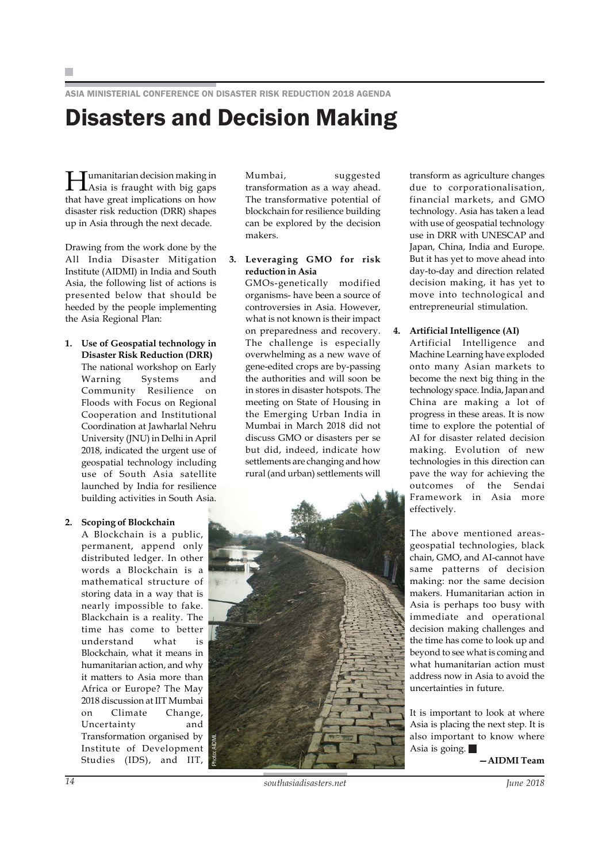ASIA MINISTERIAL CONFERENCE ON DISASTER RISK REDUCTION 2018 AGENDA

### Disasters and Decision Making

Humanitarian decision making in Asia is fraught with big gaps that have great implications on how disaster risk reduction (DRR) shapes up in Asia through the next decade.

Drawing from the work done by the All India Disaster Mitigation Institute (AIDMI) in India and South Asia, the following list of actions is presented below that should be heeded by the people implementing the Asia Regional Plan:

**1. Use of Geospatial technology in Disaster Risk Reduction (DRR)** The national workshop on Early Warning Systems and Community Resilience on Floods with Focus on Regional Cooperation and Institutional Coordination at Jawharlal Nehru University (JNU) in Delhi in April 2018, indicated the urgent use of geospatial technology including use of South Asia satellite launched by India for resilience building activities in South Asia.

#### **2. Scoping of Blockchain**

A Blockchain is a public, permanent, append only distributed ledger. In other words a Blockchain is a mathematical structure of storing data in a way that is nearly impossible to fake. Blackchain is a reality. The time has come to better understand what is Blockchain, what it means in humanitarian action, and why it matters to Asia more than Africa or Europe? The May 2018 discussion at IIT Mumbai on Climate Change, Uncertainty and Transformation organised by Institute of Development Studies (IDS), and IIT,

Mumbai, suggested transformation as a way ahead. The transformative potential of blockchain for resilience building can be explored by the decision makers.

#### **3. Leveraging GMO for risk reduction in Asia**

GMOs-genetically modified organisms- have been a source of controversies in Asia. However, what is not known is their impact on preparedness and recovery. The challenge is especially overwhelming as a new wave of gene-edited crops are by-passing the authorities and will soon be in stores in disaster hotspots. The meeting on State of Housing in the Emerging Urban India in Mumbai in March 2018 did not discuss GMO or disasters per se but did, indeed, indicate how settlements are changing and how rural (and urban) settlements will



transform as agriculture changes due to corporationalisation, financial markets, and GMO technology. Asia has taken a lead with use of geospatial technology use in DRR with UNESCAP and Japan, China, India and Europe. But it has yet to move ahead into day-to-day and direction related decision making, it has yet to move into technological and entrepreneurial stimulation.

#### **4. Artificial Intelligence (AI)**

Artificial Intelligence and Machine Learning have exploded onto many Asian markets to become the next big thing in the technology space. India, Japan and China are making a lot of progress in these areas. It is now time to explore the potential of AI for disaster related decision making. Evolution of new technologies in this direction can pave the way for achieving the outcomes of the Sendai Framework in Asia more effectively.

The above mentioned areasgeospatial technologies, black chain, GMO, and AI-cannot have same patterns of decision making: nor the same decision makers. Humanitarian action in Asia is perhaps too busy with immediate and operational decision making challenges and the time has come to look up and beyond to see what is coming and what humanitarian action must address now in Asia to avoid the uncertainties in future.

It is important to look at where Asia is placing the next step. It is also important to know where Asia is going.  $\blacksquare$ 

**—AIDMI Team**

*14 southasiadisasters.net June 2018*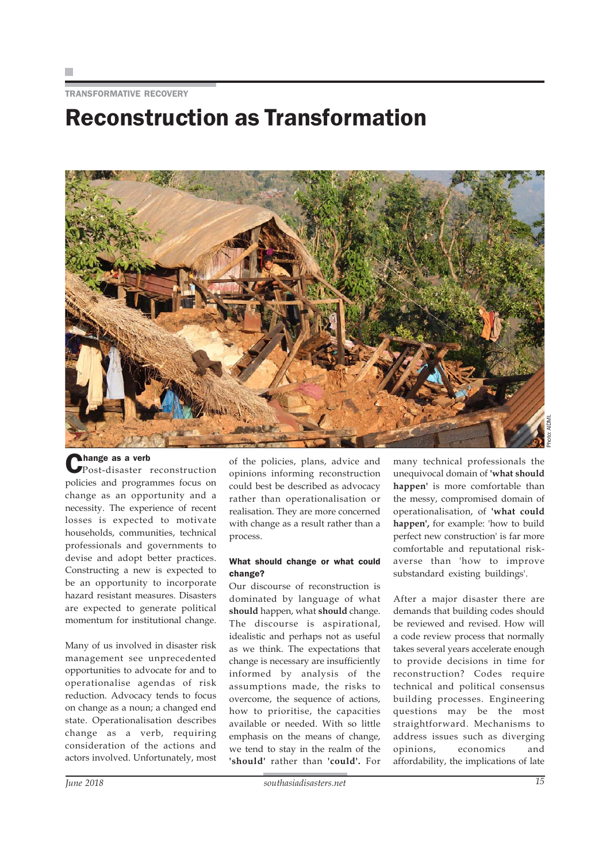TRANSFORMATIVE RECOVERY

### Reconstruction as Transformation



Change as a verb Post-disaster reconstruction policies and programmes focus on change as an opportunity and a necessity. The experience of recent losses is expected to motivate households, communities, technical professionals and governments to devise and adopt better practices. Constructing a new is expected to be an opportunity to incorporate hazard resistant measures. Disasters are expected to generate political momentum for institutional change.

Many of us involved in disaster risk management see unprecedented opportunities to advocate for and to operationalise agendas of risk reduction. Advocacy tends to focus on change as a noun; a changed end state. Operationalisation describes change as a verb, requiring consideration of the actions and actors involved. Unfortunately, most

of the policies, plans, advice and opinions informing reconstruction could best be described as advocacy rather than operationalisation or realisation. They are more concerned with change as a result rather than a process.

#### What should change or what could change?

Our discourse of reconstruction is dominated by language of what **should** happen, what **should** change. The discourse is aspirational, idealistic and perhaps not as useful as we think. The expectations that change is necessary are insufficiently informed by analysis of the assumptions made, the risks to overcome, the sequence of actions, how to prioritise, the capacities available or needed. With so little emphasis on the means of change, we tend to stay in the realm of the **'should'** rather than **'could'.** For

many technical professionals the unequivocal domain of **'what should happen'** is more comfortable than the messy, compromised domain of operationalisation, of **'what could happen',** for example: 'how to build perfect new construction' is far more comfortable and reputational riskaverse than 'how to improve substandard existing buildings'.

After a major disaster there are demands that building codes should be reviewed and revised. How will a code review process that normally takes several years accelerate enough to provide decisions in time for reconstruction? Codes require technical and political consensus building processes. Engineering questions may be the most straightforward. Mechanisms to address issues such as diverging opinions, economics and affordability, the implications of late